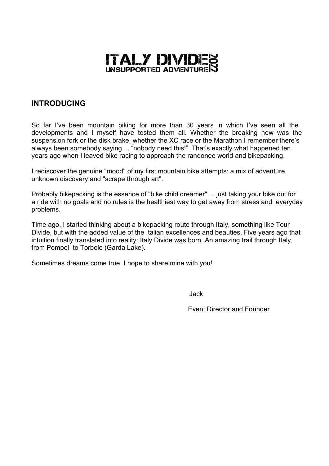

# **INTRODUCING**

So far I've been mountain biking for more than 30 years in which I've seen all the developments and I myself have tested them all. Whether the breaking new was the suspension fork or the disk brake, whether the XC race or the Marathon I remember there's always been somebody saying ... "nobody need this!". That's exactly what happened ten years ago when I leaved bike racing to approach the randonee world and bikepacking.

I rediscover the genuine "mood" of my first mountain bike attempts: a mix of adventure, unknown discovery and "scrape through art".

Probably bikepacking is the essence of "bike child dreamer" ... just taking your bike out for a ride with no goals and no rules is the healthiest way to get away from stress and everyday problems.

Time ago, I started thinking about a bikepacking route through Italy, something like Tour Divide, but with the added value of the Italian excellences and beauties. Five years ago that intuition finally translated into reality: Italy Divide was born. An amazing trail through Italy, from Pompei to Torbole (Garda Lake).

Sometimes dreams come true. I hope to share mine with you!

in the state of the state of the state of the state of the state of the state of the state of the state of the

Event Director and Founder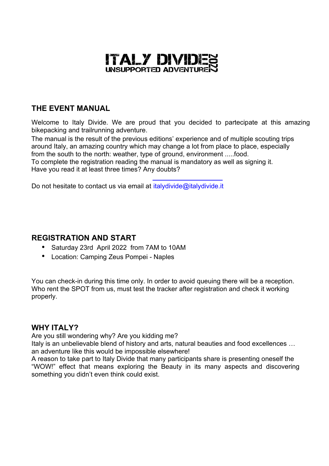

# **THE EVENT MANUAL**

Welcome to Italy Divide. We are proud that you decided to partecipate at this amazing bikepacking and trailrunning adventure.

The manual is the result of the previous editions' experience and of multiple scouting trips around Italy, an amazing country which may change a lot from place to place, especially from the south to the north: weather, type of ground, environment .....food. To complete the registration reading the manual is mandatory as well as signing it.

Have you read it at least three times? Any doubts?

Do not hesitate to contact us via email at *italydivide@italydivide.it* 

# **REGISTRATION AND START**

- Saturday 23rd April 2022 from 7AM to 10AM
- Location: Camping Zeus Pompei Naples

You can check-in during this time only. In order to avoid queuing there will be a reception. Who rent the SPOT from us, must test the tracker after registration and check it working properly.

# **WHY ITALY?**

Are you still wondering why? Are you kidding me?

Italy is an unbelievable blend of history and arts, natural beauties and food excellences … an adventure like this would be impossible elsewhere!

A reason to take part to Italy Divide that many participants share is presenting oneself the "WOW!" effect that means exploring the Beauty in its many aspects and discovering something you didn't even think could exist.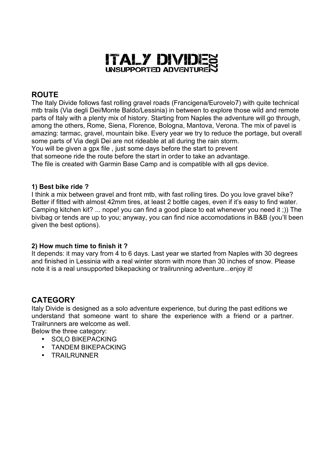

# **ROUTE**

The Italy Divide follows fast rolling gravel roads (Francigena/Eurovelo7) with quite technical mtb trails (Via degli Dei/Monte Baldo/Lessinia) in between to explore those wild and remote parts of Italy with a plenty mix of history. Starting from Naples the adventure will go through, among the others, Rome, Siena, Florence, Bologna, Mantova, Verona. The mix of pavel is amazing: tarmac, gravel, mountain bike. Every year we try to reduce the portage, but overall some parts of Via degli Dei are not rideable at all during the rain storm.

You will be given a gpx file, just some days before the start to prevent

that someone ride the route before the start in order to take an advantage.

The file is created with Garmin Base Camp and is compatible with all gps device.

### **1) Best bike ride ?**

I think a mix between gravel and front mtb, with fast rolling tires. Do you love gravel bike? Better if fitted with almost 42mm tires, at least 2 bottle cages, even if it's easy to find water. Camping kitchen kit? ... nope! you can find a good place to eat whenever you need it ;)) The bivibag or tends are up to you; anyway, you can find nice accomodations in B&B (you'll been given the best options).

### **2) How much time to finish it ?**

It depends: it may vary from 4 to 6 days. Last year we started from Naples with 30 degrees and finished in Lessinia with a real winter storm with more than 30 inches of snow. Please note it is a real unsupported bikepacking or trailrunning adventure...enjoy it!

# **CATEGORY**

Italy Divide is designed as a solo adventure experience, but during the past editions we understand that someone want to share the experience with a friend or a partner. Trailrunners are welcome as well.

Below the three category:

- SOLO BIKEPACKING
- TANDEM BIKEPACKING
- TRAILRUNNER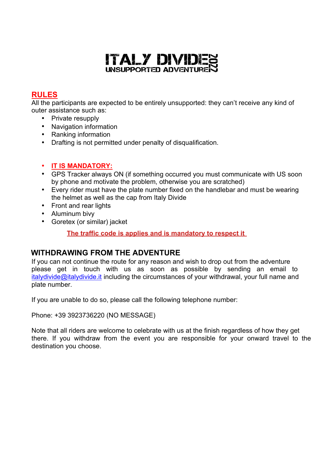

# **RULES**

All the participants are expected to be entirely unsupported: they can't receive any kind of outer assistance such as:

- Private resupply
- Navigation information
- Ranking information
- Drafting is not permitted under penalty of disqualification.
- **IT IS MANDATORY:**
- GPS Tracker always ON (if something occurred you must communicate with US soon by phone and motivate the problem, otherwise you are scratched)
- Every rider must have the plate number fixed on the handlebar and must be wearing the helmet as well as the cap from Italy Divide
- Front and rear lights
- Aluminum bivy
- Goretex (or similar) jacket

**The traffic code is applies and is mandatory to respect it** 

# **WITHDRAWING FROM THE ADVENTURE**

If you can not continue the route for any reason and wish to drop out from the adventure please get in touch with us as soon as possible by sending an email to italydivide@italydivide.it including the circumstances of your withdrawal, your full name and plate number.

If you are unable to do so, please call the following telephone number:

Phone: +39 3923736220 (NO MESSAGE)

Note that all riders are welcome to celebrate with us at the finish regardless of how they get there. If you withdraw from the event you are responsible for your onward travel to the destination you choose.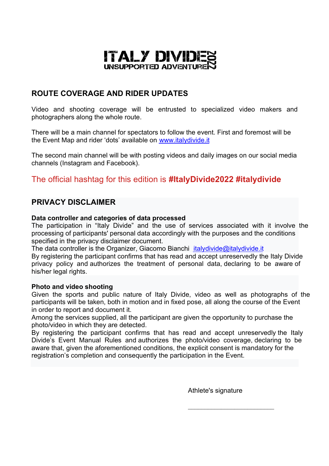

# **ROUTE COVERAGE AND RIDER UPDATES**

Video and shooting coverage will be entrusted to specialized video makers and photographers along the whole route.

There will be a main channel for spectators to follow the event. First and foremost will be the Event Map and rider 'dots' available on www.italydivide.it

The second main channel will be with posting videos and daily images on our social media channels (Instagram and Facebook).

# The official hashtag for this edition is **#ItalyDivide2022 #italydivide**

## **PRIVACY DISCLAIMER**

#### **Data controller and categories of data processed**

The participation in "Italy Divide" and the use of services associated with it involve the processing of participants' personal data accordingly with the purposes and the conditions specified in the privacy disclaimer document.

The data controller is the Organizer, Giacomo Bianchi italydivide@italydivide.it

By registering the participant confirms that has read and accept unreservedly the Italy Divide privacy policy and authorizes the treatment of personal data, declaring to be aware of his/her legal rights.

#### **Photo and video shooting**

Given the sports and public nature of Italy Divide, video as well as photographs of the participants will be taken, both in motion and in fixed pose, all along the course of the Event in order to report and document it.

Among the services supplied, all the participant are given the opportunity to purchase the photo/video in which they are detected.

By registering the participant confirms that has read and accept unreservedly the Italy Divide's Event Manual Rules and authorizes the photo/video coverage, declaring to be aware that, given the aforementioned conditions, the explicit consent is mandatory for the registration's completion and consequently the participation in the Event.

Athlete's signature

 $\mathcal{L}_\text{max}$